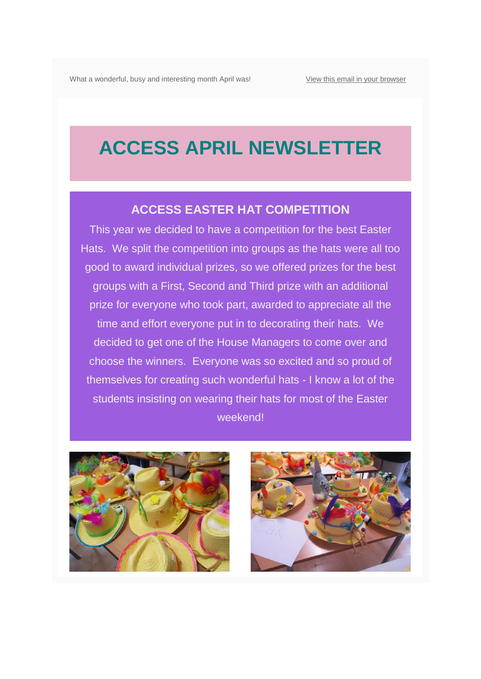## **ACCESS APRIL NEWSLETTER**

#### **ACCESS EASTER HAT COMPETITION**

This year we decided to have a competition for the best Easter Hats. We split the competition into groups as the hats were all too good to award individual prizes, so we offered prizes for the best groups with a First, Second and Third prize with an additional prize for everyone who took part, awarded to appreciate all the time and effort everyone put in to decorating their hats. We decided to get one of the House Managers to come over and choose the winners. Everyone was so excited and so proud of themselves for creating such wonderful hats - I know a lot of the students insisting on wearing their hats for most of the Easter weekend!



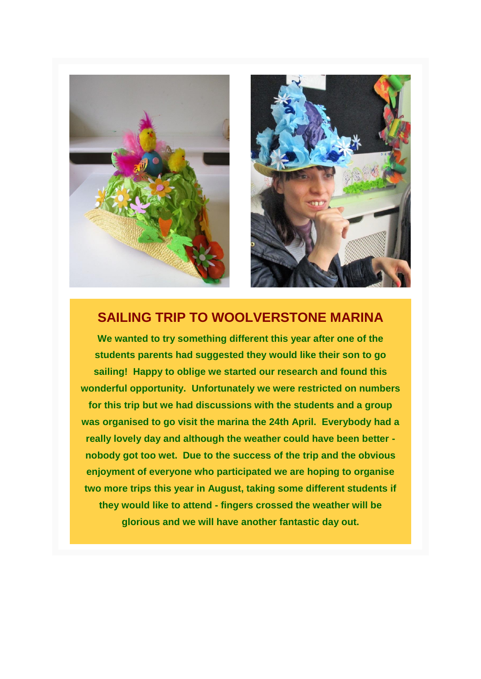



#### **SAILING TRIP TO WOOLVERSTONE MARINA**

**We wanted to try something different this year after one of the students parents had suggested they would like their son to go sailing! Happy to oblige we started our research and found this wonderful opportunity. Unfortunately we were restricted on numbers for this trip but we had discussions with the students and a group was organised to go visit the marina the 24th April. Everybody had a really lovely day and although the weather could have been better nobody got too wet. Due to the success of the trip and the obvious enjoyment of everyone who participated we are hoping to organise two more trips this year in August, taking some different students if they would like to attend - fingers crossed the weather will be glorious and we will have another fantastic day out.**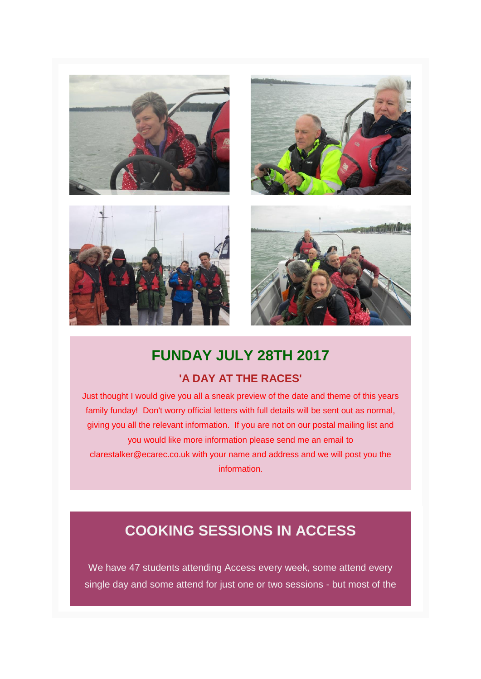







## **FUNDAY JULY 28TH 2017**

#### **'A DAY AT THE RACES'**

Just thought I would give you all a sneak preview of the date and theme of this years family funday! Don't worry official letters with full details will be sent out as normal, giving you all the relevant information. If you are not on our postal mailing list and you would like more information please send me an email to clarestalker@ecarec.co.uk with your name and address and we will post you the information.

## **COOKING SESSIONS IN ACCESS**

We have 47 students attending Access every week, some attend every single day and some attend for just one or two sessions - but most of the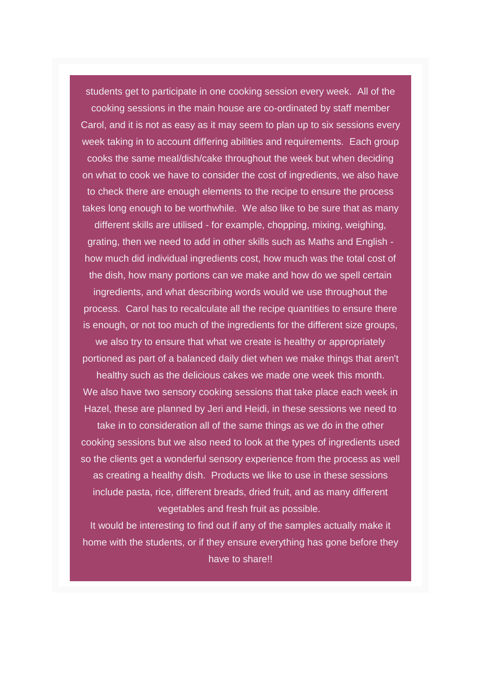students get to participate in one cooking session every week. All of the cooking sessions in the main house are co-ordinated by staff member Carol, and it is not as easy as it may seem to plan up to six sessions every week taking in to account differing abilities and requirements. Each group cooks the same meal/dish/cake throughout the week but when deciding on what to cook we have to consider the cost of ingredients, we also have to check there are enough elements to the recipe to ensure the process takes long enough to be worthwhile. We also like to be sure that as many

different skills are utilised - for example, chopping, mixing, weighing, grating, then we need to add in other skills such as Maths and English how much did individual ingredients cost, how much was the total cost of the dish, how many portions can we make and how do we spell certain

ingredients, and what describing words would we use throughout the process. Carol has to recalculate all the recipe quantities to ensure there is enough, or not too much of the ingredients for the different size groups,

we also try to ensure that what we create is healthy or appropriately portioned as part of a balanced daily diet when we make things that aren't

healthy such as the delicious cakes we made one week this month. We also have two sensory cooking sessions that take place each week in Hazel, these are planned by Jeri and Heidi, in these sessions we need to

take in to consideration all of the same things as we do in the other cooking sessions but we also need to look at the types of ingredients used so the clients get a wonderful sensory experience from the process as well as creating a healthy dish. Products we like to use in these sessions include pasta, rice, different breads, dried fruit, and as many different vegetables and fresh fruit as possible.

It would be interesting to find out if any of the samples actually make it home with the students, or if they ensure everything has gone before they have to share!!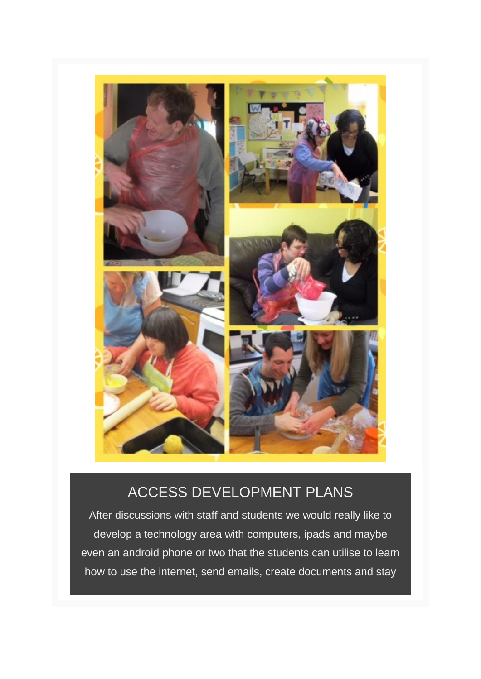

## ACCESS DEVELOPMENT PLANS

After discussions with staff and students we would really like to develop a technology area with computers, ipads and maybe even an android phone or two that the students can utilise to learn how to use the internet, send emails, create documents and stay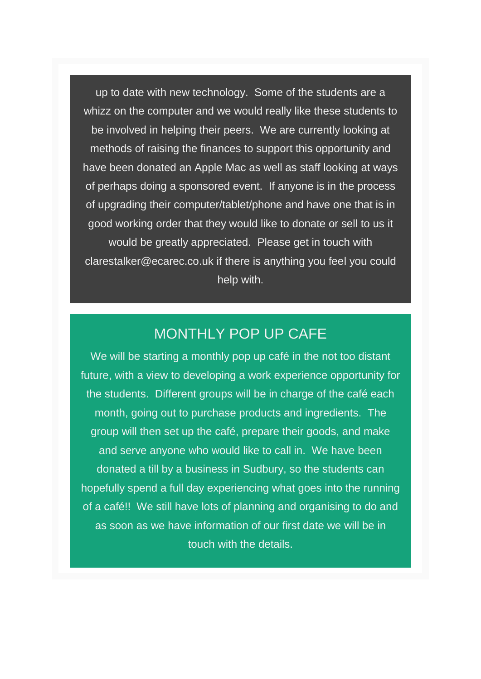up to date with new technology. Some of the students are a whizz on the computer and we would really like these students to be involved in helping their peers. We are currently looking at methods of raising the finances to support this opportunity and have been donated an Apple Mac as well as staff looking at ways of perhaps doing a sponsored event. If anyone is in the process of upgrading their computer/tablet/phone and have one that is in good working order that they would like to donate or sell to us it would be greatly appreciated. Please get in touch with clarestalker@ecarec.co.uk if there is anything you feel you could help with.

#### MONTHLY POP UP CAFE

We will be starting a monthly pop up café in the not too distant future, with a view to developing a work experience opportunity for the students. Different groups will be in charge of the café each month, going out to purchase products and ingredients. The group will then set up the café, prepare their goods, and make and serve anyone who would like to call in. We have been donated a till by a business in Sudbury, so the students can hopefully spend a full day experiencing what goes into the running of a café!! We still have lots of planning and organising to do and as soon as we have information of our first date we will be in touch with the details.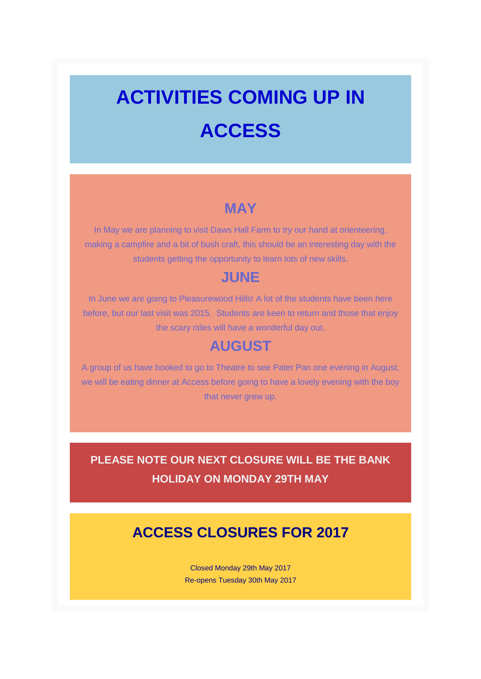# **ACTIVITIES COMING UP IN ACCESS**

#### **MAY**

In May we are planning to visit Daws Hall Farm to try our hand at orienteering, making a campfire and a bit of bush craft, this should be an interesting day with the students getting the opportunity to learn lots of new skills.

#### **JUNE**

In June we are going to Pleasurewood Hills! A lot of the students have been here before, but our last visit was 2015. Students are keen to return and those that enjoy the scary rides will have a wonderful day out.

#### **AUGUST**

A group of us have booked to go to Theatre to see Pater Pan one evening in August, we will be eating dinner at Access before going to have a lovely evening with the boy that never grew up.

### **PLEASE NOTE OUR NEXT CLOSURE WILL BE THE BANK HOLIDAY ON MONDAY 29TH MAY**

## **ACCESS CLOSURES FOR 2017**

Closed Monday 29th May 2017 Re-opens Tuesday 30th May 2017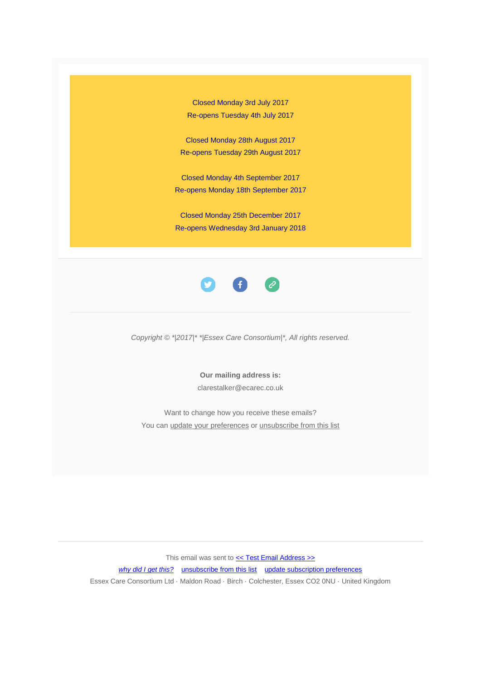Closed Monday 3rd July 2017 Re-opens Tuesday 4th July 2017

Closed Monday 28th August 2017 Re-opens Tuesday 29th August 2017

Closed Monday 4th September 2017 Re-opens Monday 18th September 2017

Closed Monday 25th December 2017 Re-opens Wednesday 3rd January 2018



*Copyright © \*|2017|\* \*|Essex Care Consortium|\*, All rights reserved.*

**Our mailing address is:** clarestalker@ecarec.co.uk

Want to change how you receive these emails? You ca[n update your preferences](https://ecarec.us13.list-manage.com/profile?u=f08d9ae3e4436254afcfad645&id=8913c488d6&e=%5bUNIQID%5d) or [unsubscribe from this list](https://ecarec.us13.list-manage.com/unsubscribe?u=f08d9ae3e4436254afcfad645&id=8913c488d6&e=%5bUNIQID%5d&c=fdc65b3b69)

This email was sent to  $\leq$  Test Email Address >>

*[why did I get this?](https://ecarec.us13.list-manage.com/about?u=f08d9ae3e4436254afcfad645&id=8913c488d6&e=%5bUNIQID%5d&c=fdc65b3b69)* [unsubscribe from this list](https://ecarec.us13.list-manage.com/unsubscribe?u=f08d9ae3e4436254afcfad645&id=8913c488d6&e=%5bUNIQID%5d&c=fdc65b3b69) [update subscription preferences](https://ecarec.us13.list-manage.com/profile?u=f08d9ae3e4436254afcfad645&id=8913c488d6&e=%5bUNIQID%5d) Essex Care Consortium Ltd · Maldon Road · Birch · Colchester, Essex CO2 0NU · United Kingdom